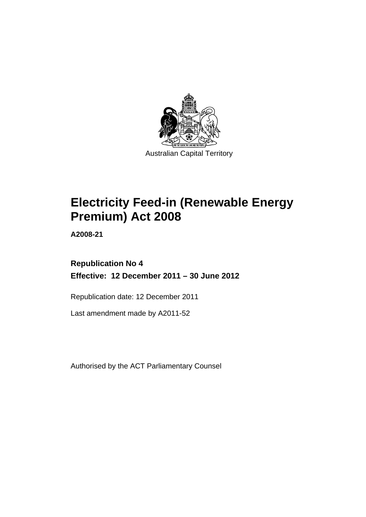

# **Electricity Feed-in (Renewable Energy Premium) Act 2008**

**A2008-21** 

### **Republication No 4 Effective: 12 December 2011 – 30 June 2012**

Republication date: 12 December 2011

Last amendment made by A2011-52

Authorised by the ACT Parliamentary Counsel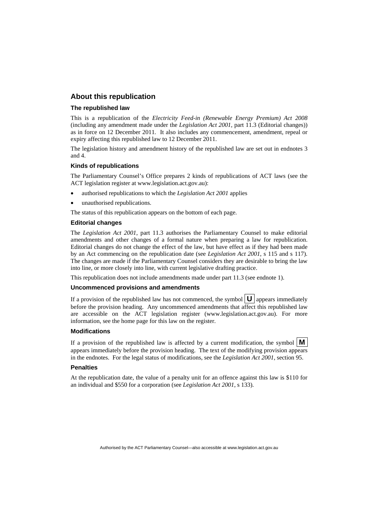#### **About this republication**

#### **The republished law**

This is a republication of the *Electricity Feed-in (Renewable Energy Premium) Act 2008* (including any amendment made under the *Legislation Act 2001*, part 11.3 (Editorial changes)) as in force on 12 December 2011*.* It also includes any commencement, amendment, repeal or expiry affecting this republished law to 12 December 2011.

The legislation history and amendment history of the republished law are set out in endnotes 3 and 4.

#### **Kinds of republications**

The Parliamentary Counsel's Office prepares 2 kinds of republications of ACT laws (see the ACT legislation register at www.legislation.act.gov.au):

- authorised republications to which the *Legislation Act 2001* applies
- unauthorised republications.

The status of this republication appears on the bottom of each page.

#### **Editorial changes**

The *Legislation Act 2001*, part 11.3 authorises the Parliamentary Counsel to make editorial amendments and other changes of a formal nature when preparing a law for republication. Editorial changes do not change the effect of the law, but have effect as if they had been made by an Act commencing on the republication date (see *Legislation Act 2001*, s 115 and s 117). The changes are made if the Parliamentary Counsel considers they are desirable to bring the law into line, or more closely into line, with current legislative drafting practice.

This republication does not include amendments made under part 11.3 (see endnote 1).

#### **Uncommenced provisions and amendments**

If a provision of the republished law has not commenced, the symbol  $\mathbf{U}$  appears immediately before the provision heading. Any uncommenced amendments that affect this republished law are accessible on the ACT legislation register (www.legislation.act.gov.au). For more information, see the home page for this law on the register.

#### **Modifications**

If a provision of the republished law is affected by a current modification, the symbol  $\vert \mathbf{M} \vert$ appears immediately before the provision heading. The text of the modifying provision appears in the endnotes. For the legal status of modifications, see the *Legislation Act 2001*, section 95.

#### **Penalties**

At the republication date, the value of a penalty unit for an offence against this law is \$110 for an individual and \$550 for a corporation (see *Legislation Act 2001*, s 133).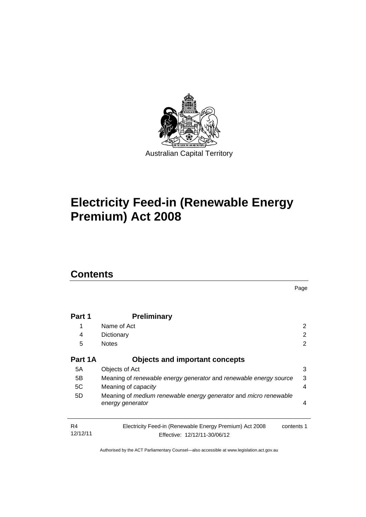

# **Electricity Feed-in (Renewable Energy Premium) Act 2008**

## **Contents**

|                |                                                                                                       | Page |
|----------------|-------------------------------------------------------------------------------------------------------|------|
|                |                                                                                                       |      |
| Part 1         | <b>Preliminary</b>                                                                                    |      |
| 1              | Name of Act                                                                                           | 2    |
| 4              | Dictionary                                                                                            | 2    |
| 5              | <b>Notes</b>                                                                                          | 2    |
| Part 1A        | <b>Objects and important concepts</b>                                                                 |      |
| 5А             | Objects of Act                                                                                        | 3    |
| 5В             | Meaning of renewable energy generator and renewable energy source                                     | 3    |
| 5C             | Meaning of capacity                                                                                   | 4    |
| 5D             | Meaning of medium renewable energy generator and micro renewable                                      |      |
|                | energy generator                                                                                      | 4    |
|                |                                                                                                       |      |
| R4<br>12/12/11 | Electricity Feed-in (Renewable Energy Premium) Act 2008<br>contents 1<br>Effective: 12/12/11-30/06/12 |      |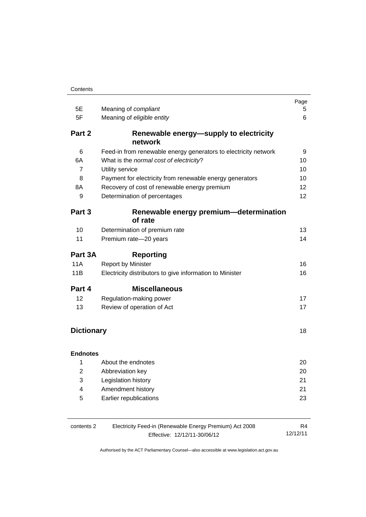|                         |                                                                 | Page            |
|-------------------------|-----------------------------------------------------------------|-----------------|
| 5E<br>5F                | Meaning of compliant<br>Meaning of eligible entity              | 5<br>6          |
|                         |                                                                 |                 |
| Part 2                  | Renewable energy-supply to electricity<br>network               |                 |
| 6                       | Feed-in from renewable energy generators to electricity network | 9               |
| 6A                      | What is the normal cost of electricity?                         | 10              |
| $\overline{7}$          | Utility service                                                 | 10              |
| 8                       | Payment for electricity from renewable energy generators        | 10              |
| 8A                      | Recovery of cost of renewable energy premium                    | 12 <sup>2</sup> |
| 9                       | Determination of percentages                                    | 12              |
| Part 3                  | Renewable energy premium-determination<br>of rate               |                 |
| 10                      | Determination of premium rate                                   | 13              |
| 11                      | Premium rate-20 years                                           | 14              |
| Part 3A                 | <b>Reporting</b>                                                |                 |
| 11A                     | <b>Report by Minister</b>                                       | 16              |
| 11B                     | Electricity distributors to give information to Minister        | 16              |
| Part 4                  | <b>Miscellaneous</b>                                            |                 |
| 12                      | Regulation-making power                                         | 17              |
| 13                      | Review of operation of Act                                      | 17              |
| <b>Dictionary</b>       |                                                                 |                 |
|                         |                                                                 |                 |
| <b>Endnotes</b><br>1    | About the endnotes                                              | 20              |
| $\overline{2}$          |                                                                 |                 |
| 3                       | Abbreviation key<br>Legislation history                         | 20<br>21        |
| $\overline{\mathbf{4}}$ | Amendment history                                               | 21              |
| 5                       | Earlier republications                                          | 23              |
|                         |                                                                 |                 |

| contents 2 | R4                           |          |
|------------|------------------------------|----------|
|            | Effective: 12/12/11-30/06/12 | 12/12/11 |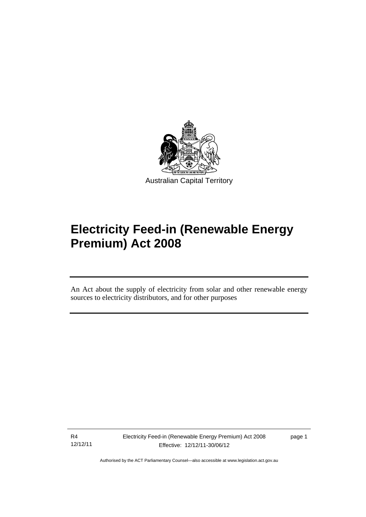

# **Electricity Feed-in (Renewable Energy Premium) Act 2008**

An Act about the supply of electricity from solar and other renewable energy sources to electricity distributors, and for other purposes

R4 12/12/11

Ī

page 1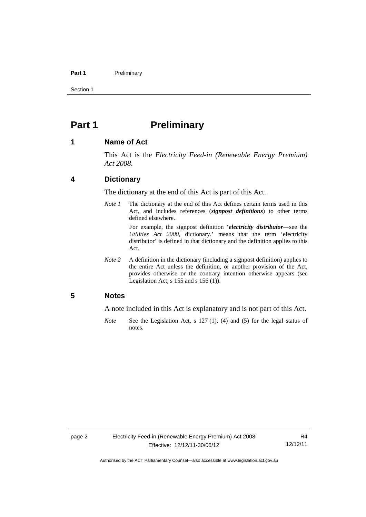#### Part 1 **Preliminary**

Section 1

### <span id="page-5-0"></span>**Part 1** Preliminary

#### <span id="page-5-1"></span>**1 Name of Act**

This Act is the *Electricity Feed-in (Renewable Energy Premium) Act 2008*.

#### <span id="page-5-2"></span>**4 Dictionary**

The dictionary at the end of this Act is part of this Act.

*Note 1* The dictionary at the end of this Act defines certain terms used in this Act, and includes references (*signpost definitions*) to other terms defined elsewhere.

> For example, the signpost definition '*electricity distributor*—see the *Utilities Act 2000*, dictionary.' means that the term 'electricity distributor' is defined in that dictionary and the definition applies to this Act.

*Note 2* A definition in the dictionary (including a signpost definition) applies to the entire Act unless the definition, or another provision of the Act, provides otherwise or the contrary intention otherwise appears (see Legislation Act, s  $155$  and s  $156$  (1)).

#### <span id="page-5-3"></span>**5 Notes**

A note included in this Act is explanatory and is not part of this Act.

*Note* See the Legislation Act, s 127 (1), (4) and (5) for the legal status of notes.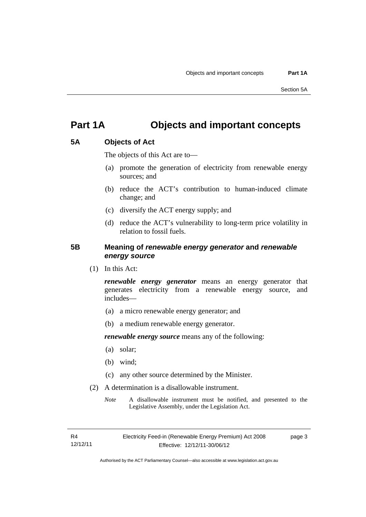## <span id="page-6-0"></span>**Part 1A Objects and important concepts**

#### <span id="page-6-1"></span>**5A Objects of Act**

The objects of this Act are to—

- (a) promote the generation of electricity from renewable energy sources; and
- (b) reduce the ACT's contribution to human-induced climate change; and
- (c) diversify the ACT energy supply; and
- (d) reduce the ACT's vulnerability to long-term price volatility in relation to fossil fuels.

#### <span id="page-6-2"></span>**5B Meaning of** *renewable energy generator* **and** *renewable energy source*

(1) In this Act:

*renewable energy generator* means an energy generator that generates electricity from a renewable energy source, and includes—

- (a) a micro renewable energy generator; and
- (b) a medium renewable energy generator.

*renewable energy source* means any of the following:

- (a) solar;
- (b) wind;
- (c) any other source determined by the Minister.
- (2) A determination is a disallowable instrument.
	- *Note* A disallowable instrument must be notified, and presented to the Legislative Assembly, under the Legislation Act.

page 3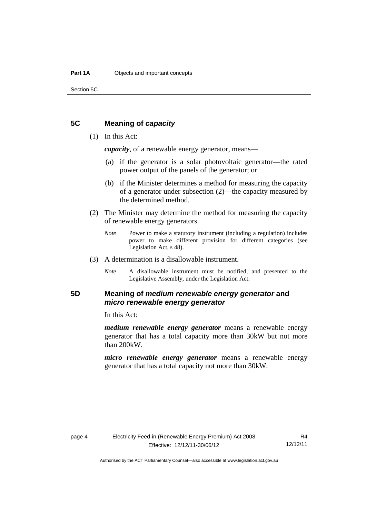Section 5C

#### <span id="page-7-0"></span>**5C Meaning of** *capacity*

#### (1) In this Act:

*capacity*, of a renewable energy generator, means—

- (a) if the generator is a solar photovoltaic generator—the rated power output of the panels of the generator; or
- (b) if the Minister determines a method for measuring the capacity of a generator under subsection (2)—the capacity measured by the determined method.
- (2) The Minister may determine the method for measuring the capacity of renewable energy generators.
	- *Note* Power to make a statutory instrument (including a regulation) includes power to make different provision for different categories (see Legislation Act, s 48).
- (3) A determination is a disallowable instrument.
	- *Note* A disallowable instrument must be notified, and presented to the Legislative Assembly, under the Legislation Act.

#### <span id="page-7-1"></span>**5D Meaning of** *medium renewable energy generator* **and**  *micro renewable energy generator*

In this Act:

*medium renewable energy generator* means a renewable energy generator that has a total capacity more than 30kW but not more than 200kW.

*micro renewable energy generator* means a renewable energy generator that has a total capacity not more than 30kW.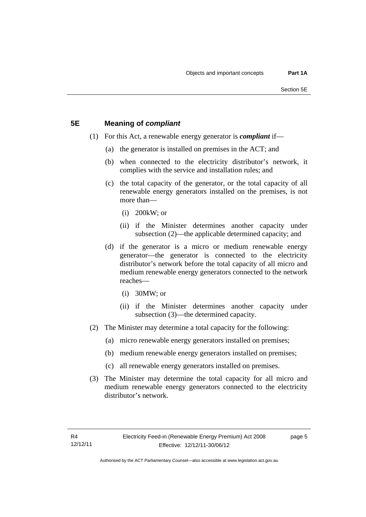#### <span id="page-8-0"></span>**5E Meaning of** *compliant*

- (1) For this Act, a renewable energy generator is *compliant* if—
	- (a) the generator is installed on premises in the ACT; and
	- (b) when connected to the electricity distributor's network, it complies with the service and installation rules; and
	- (c) the total capacity of the generator, or the total capacity of all renewable energy generators installed on the premises, is not more than—
		- (i) 200kW; or
		- (ii) if the Minister determines another capacity under subsection (2)—the applicable determined capacity; and
	- (d) if the generator is a micro or medium renewable energy generator—the generator is connected to the electricity distributor's network before the total capacity of all micro and medium renewable energy generators connected to the network reaches—
		- (i) 30MW; or
		- (ii) if the Minister determines another capacity under subsection (3)—the determined capacity.
- (2) The Minister may determine a total capacity for the following:
	- (a) micro renewable energy generators installed on premises;
	- (b) medium renewable energy generators installed on premises;
	- (c) all renewable energy generators installed on premises.
- (3) The Minister may determine the total capacity for all micro and medium renewable energy generators connected to the electricity distributor's network.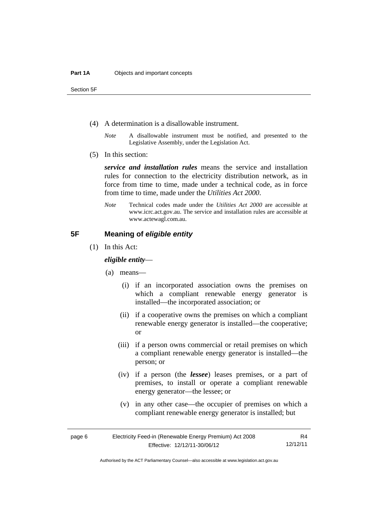Section 5F

- (4) A determination is a disallowable instrument.
	- *Note* A disallowable instrument must be notified, and presented to the Legislative Assembly, under the Legislation Act.
- (5) In this section:

*service and installation rules* means the service and installation rules for connection to the electricity distribution network, as in force from time to time, made under a technical code, as in force from time to time, made under the *Utilities Act 2000*.

*Note* Technical codes made under the *Utilities Act 2000* are accessible at www.icrc.act.gov.au. The service and installation rules are accessible at www.actewagl.com.au.

#### <span id="page-9-0"></span>**5F Meaning of** *eligible entity*

(1) In this Act:

#### *eligible entity*—

- (a) means—
	- (i) if an incorporated association owns the premises on which a compliant renewable energy generator is installed—the incorporated association; or
	- (ii) if a cooperative owns the premises on which a compliant renewable energy generator is installed—the cooperative; or
	- (iii) if a person owns commercial or retail premises on which a compliant renewable energy generator is installed—the person; or
	- (iv) if a person (the *lessee*) leases premises, or a part of premises, to install or operate a compliant renewable energy generator—the lessee; or
	- (v) in any other case—the occupier of premises on which a compliant renewable energy generator is installed; but

R4 12/12/11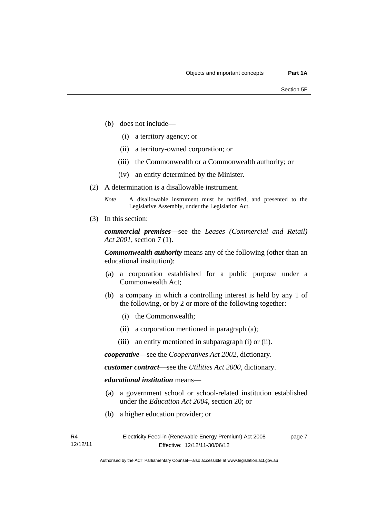- (b) does not include—
	- (i) a territory agency; or
	- (ii) a territory-owned corporation; or
	- (iii) the Commonwealth or a Commonwealth authority; or
	- (iv) an entity determined by the Minister.
- (2) A determination is a disallowable instrument.
	- *Note* A disallowable instrument must be notified, and presented to the Legislative Assembly, under the Legislation Act.
- (3) In this section:

*commercial premises*—see the *Leases (Commercial and Retail) Act 2001*, section 7 (1).

*Commonwealth authority* means any of the following (other than an educational institution):

- (a) a corporation established for a public purpose under a Commonwealth Act;
- (b) a company in which a controlling interest is held by any 1 of the following, or by 2 or more of the following together:
	- (i) the Commonwealth;
	- (ii) a corporation mentioned in paragraph (a);
	- (iii) an entity mentioned in subparagraph (i) or (ii).

*cooperative*—see the *Cooperatives Act 2002*, dictionary.

*customer contract*—see the *Utilities Act 2000*, dictionary.

*educational institution* means—

- (a) a government school or school-related institution established under the *Education Act 2004*, section 20; or
- (b) a higher education provider; or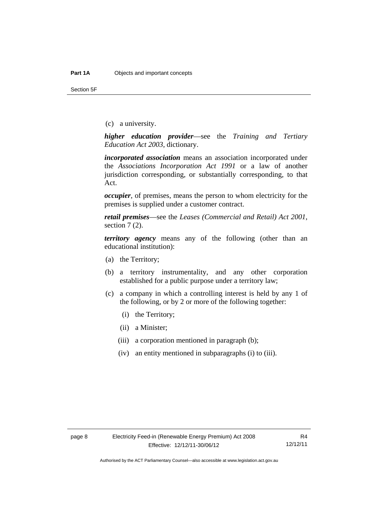Section 5F

(c) a university.

*higher education provider*—see the *Training and Tertiary Education Act 2003*, dictionary.

*incorporated association* means an association incorporated under the *Associations Incorporation Act 1991* or a law of another jurisdiction corresponding, or substantially corresponding, to that Act.

*occupier*, of premises, means the person to whom electricity for the premises is supplied under a customer contract.

*retail premises*—see the *Leases (Commercial and Retail) Act 2001*, section 7(2).

*territory agency* means any of the following (other than an educational institution):

- (a) the Territory;
- (b) a territory instrumentality, and any other corporation established for a public purpose under a territory law;
- (c) a company in which a controlling interest is held by any 1 of the following, or by 2 or more of the following together:
	- (i) the Territory;
	- (ii) a Minister;
	- (iii) a corporation mentioned in paragraph (b);
	- (iv) an entity mentioned in subparagraphs (i) to (iii).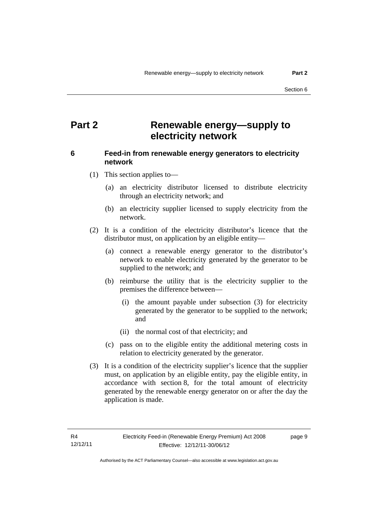### <span id="page-12-0"></span>**Part 2 Renewable energy—supply to electricity network**

#### <span id="page-12-1"></span>**6 Feed-in from renewable energy generators to electricity network**

(1) This section applies to—

- (a) an electricity distributor licensed to distribute electricity through an electricity network; and
- (b) an electricity supplier licensed to supply electricity from the network.
- (2) It is a condition of the electricity distributor's licence that the distributor must, on application by an eligible entity—
	- (a) connect a renewable energy generator to the distributor's network to enable electricity generated by the generator to be supplied to the network; and
	- (b) reimburse the utility that is the electricity supplier to the premises the difference between—
		- (i) the amount payable under subsection (3) for electricity generated by the generator to be supplied to the network; and
		- (ii) the normal cost of that electricity; and
	- (c) pass on to the eligible entity the additional metering costs in relation to electricity generated by the generator.
- (3) It is a condition of the electricity supplier's licence that the supplier must, on application by an eligible entity, pay the eligible entity, in accordance with section 8, for the total amount of electricity generated by the renewable energy generator on or after the day the application is made.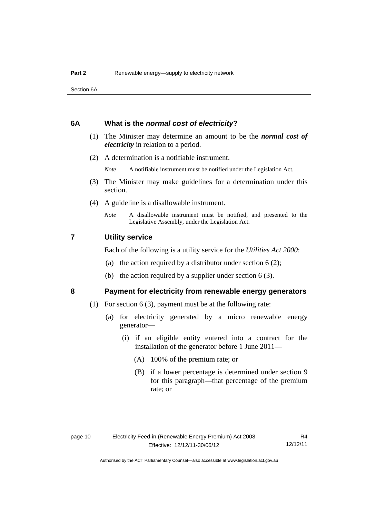Section 6A

#### <span id="page-13-0"></span>**6A What is the** *normal cost of electricity***?**

- (1) The Minister may determine an amount to be the *normal cost of electricity* in relation to a period.
- (2) A determination is a notifiable instrument.

*Note* A notifiable instrument must be notified under the Legislation Act.

- (3) The Minister may make guidelines for a determination under this section.
- (4) A guideline is a disallowable instrument.
	- *Note* A disallowable instrument must be notified, and presented to the Legislative Assembly, under the Legislation Act.

#### <span id="page-13-1"></span>**7 Utility service**

Each of the following is a utility service for the *Utilities Act 2000*:

- (a) the action required by a distributor under section  $6(2)$ ;
- (b) the action required by a supplier under section 6 (3).

#### <span id="page-13-2"></span>**8 Payment for electricity from renewable energy generators**

- (1) For section 6 (3), payment must be at the following rate:
	- (a) for electricity generated by a micro renewable energy generator—
		- (i) if an eligible entity entered into a contract for the installation of the generator before 1 June 2011—
			- (A) 100% of the premium rate; or
			- (B) if a lower percentage is determined under section 9 for this paragraph—that percentage of the premium rate; or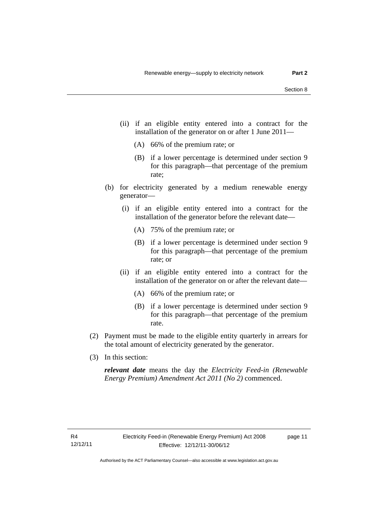- (ii) if an eligible entity entered into a contract for the installation of the generator on or after 1 June 2011—
	- (A) 66% of the premium rate; or
	- (B) if a lower percentage is determined under section 9 for this paragraph—that percentage of the premium rate;
- (b) for electricity generated by a medium renewable energy generator—
	- (i) if an eligible entity entered into a contract for the installation of the generator before the relevant date—
		- (A) 75% of the premium rate; or
		- (B) if a lower percentage is determined under section 9 for this paragraph—that percentage of the premium rate; or
	- (ii) if an eligible entity entered into a contract for the installation of the generator on or after the relevant date—
		- (A) 66% of the premium rate; or
		- (B) if a lower percentage is determined under section 9 for this paragraph—that percentage of the premium rate.
- (2) Payment must be made to the eligible entity quarterly in arrears for the total amount of electricity generated by the generator.
- (3) In this section:

*relevant date* means the day the *Electricity Feed-in (Renewable Energy Premium) Amendment Act 2011 (No 2)* commenced.

page 11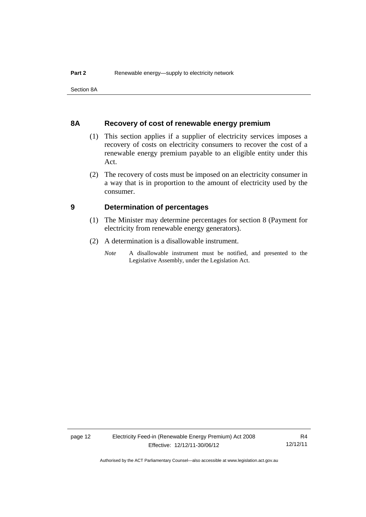Section 8A

#### <span id="page-15-0"></span>**8A Recovery of cost of renewable energy premium**

- (1) This section applies if a supplier of electricity services imposes a recovery of costs on electricity consumers to recover the cost of a renewable energy premium payable to an eligible entity under this Act.
- (2) The recovery of costs must be imposed on an electricity consumer in a way that is in proportion to the amount of electricity used by the consumer.

#### <span id="page-15-1"></span>**9 Determination of percentages**

- (1) The Minister may determine percentages for section 8 (Payment for electricity from renewable energy generators).
- (2) A determination is a disallowable instrument.
	- *Note* A disallowable instrument must be notified, and presented to the Legislative Assembly, under the Legislation Act.

page 12 Electricity Feed-in (Renewable Energy Premium) Act 2008 Effective: 12/12/11-30/06/12

R4 12/12/11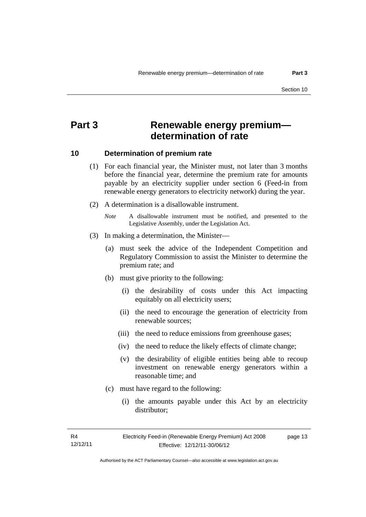### <span id="page-16-0"></span>**Part 3 Renewable energy premium determination of rate**

#### <span id="page-16-1"></span>**10 Determination of premium rate**

- (1) For each financial year, the Minister must, not later than 3 months before the financial year, determine the premium rate for amounts payable by an electricity supplier under section 6 (Feed-in from renewable energy generators to electricity network) during the year.
- (2) A determination is a disallowable instrument.
	- *Note* A disallowable instrument must be notified, and presented to the Legislative Assembly, under the Legislation Act.
- (3) In making a determination, the Minister—
	- (a) must seek the advice of the Independent Competition and Regulatory Commission to assist the Minister to determine the premium rate; and
	- (b) must give priority to the following:
		- (i) the desirability of costs under this Act impacting equitably on all electricity users;
		- (ii) the need to encourage the generation of electricity from renewable sources;
		- (iii) the need to reduce emissions from greenhouse gases;
		- (iv) the need to reduce the likely effects of climate change;
		- (v) the desirability of eligible entities being able to recoup investment on renewable energy generators within a reasonable time; and
	- (c) must have regard to the following:
		- (i) the amounts payable under this Act by an electricity distributor;

R4 12/12/11 page 13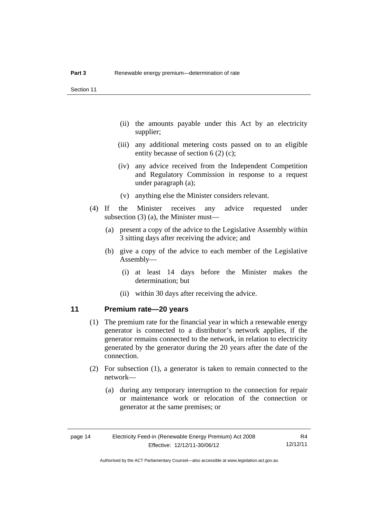- (ii) the amounts payable under this Act by an electricity supplier;
- (iii) any additional metering costs passed on to an eligible entity because of section 6 (2) (c);
- (iv) any advice received from the Independent Competition and Regulatory Commission in response to a request under paragraph (a);
- (v) anything else the Minister considers relevant.
- (4) If the Minister receives any advice requested under subsection (3) (a), the Minister must—
	- (a) present a copy of the advice to the Legislative Assembly within 3 sitting days after receiving the advice; and
	- (b) give a copy of the advice to each member of the Legislative Assembly—
		- (i) at least 14 days before the Minister makes the determination; but
		- (ii) within 30 days after receiving the advice.

#### <span id="page-17-0"></span>**11 Premium rate—20 years**

- (1) The premium rate for the financial year in which a renewable energy generator is connected to a distributor's network applies, if the generator remains connected to the network, in relation to electricity generated by the generator during the 20 years after the date of the connection.
- (2) For subsection (1), a generator is taken to remain connected to the network—
	- (a) during any temporary interruption to the connection for repair or maintenance work or relocation of the connection or generator at the same premises; or

Authorised by the ACT Parliamentary Counsel—also accessible at www.legislation.act.gov.au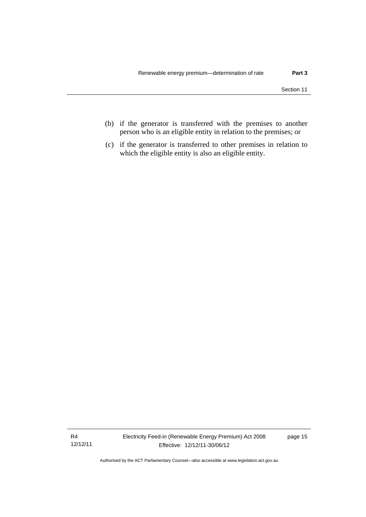- (b) if the generator is transferred with the premises to another person who is an eligible entity in relation to the premises; or
- (c) if the generator is transferred to other premises in relation to which the eligible entity is also an eligible entity.

R4 12/12/11 Electricity Feed-in (Renewable Energy Premium) Act 2008 Effective: 12/12/11-30/06/12

page 15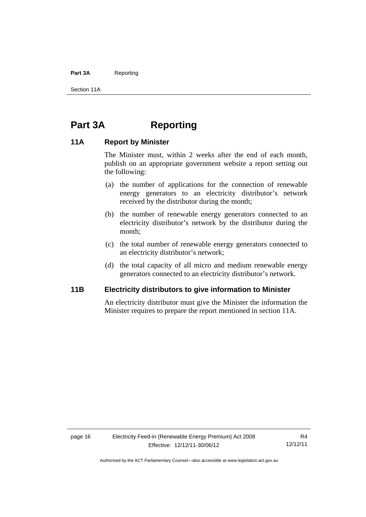#### Part 3A Reporting

Section 11A

### <span id="page-19-0"></span>**Part 3A Reporting**

#### <span id="page-19-1"></span>**11A Report by Minister**

The Minister must, within 2 weeks after the end of each month, publish on an appropriate government website a report setting out the following:

- (a) the number of applications for the connection of renewable energy generators to an electricity distributor's network received by the distributor during the month;
- (b) the number of renewable energy generators connected to an electricity distributor's network by the distributor during the month;
- (c) the total number of renewable energy generators connected to an electricity distributor's network;
- (d) the total capacity of all micro and medium renewable energy generators connected to an electricity distributor's network.

#### <span id="page-19-2"></span>**11B Electricity distributors to give information to Minister**

An electricity distributor must give the Minister the information the Minister requires to prepare the report mentioned in section 11A.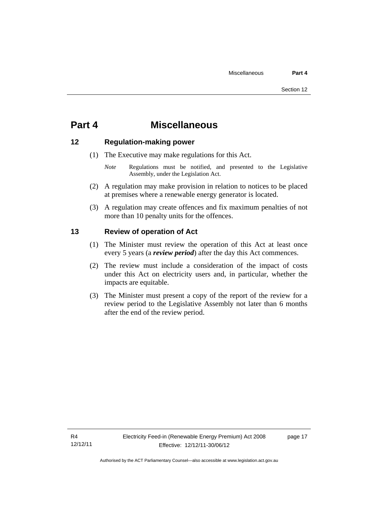### <span id="page-20-0"></span>**Part 4 Miscellaneous**

#### <span id="page-20-1"></span>**12 Regulation-making power**

- (1) The Executive may make regulations for this Act.
	- *Note* Regulations must be notified, and presented to the Legislative Assembly, under the Legislation Act.
- (2) A regulation may make provision in relation to notices to be placed at premises where a renewable energy generator is located.
- (3) A regulation may create offences and fix maximum penalties of not more than 10 penalty units for the offences.

#### <span id="page-20-2"></span>**13 Review of operation of Act**

- (1) The Minister must review the operation of this Act at least once every 5 years (a *review period*) after the day this Act commences.
- (2) The review must include a consideration of the impact of costs under this Act on electricity users and, in particular, whether the impacts are equitable.
- (3) The Minister must present a copy of the report of the review for a review period to the Legislative Assembly not later than 6 months after the end of the review period.

page 17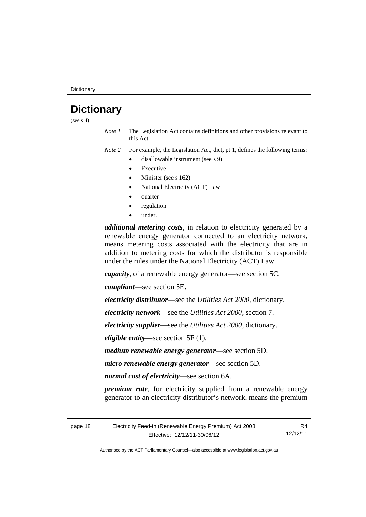**Dictionary** 

## <span id="page-21-0"></span>**Dictionary**

(see  $s$  4)

*Note 1* The Legislation Act contains definitions and other provisions relevant to this Act.

*Note 2* For example, the Legislation Act, dict, pt 1, defines the following terms:

- disallowable instrument (see s 9)
	- Executive
	- Minister (see s 162)
	- National Electricity (ACT) Law
	- quarter
	- regulation
	- under.

*additional metering costs*, in relation to electricity generated by a renewable energy generator connected to an electricity network, means metering costs associated with the electricity that are in addition to metering costs for which the distributor is responsible under the rules under the National Electricity (ACT) Law.

*capacity*, of a renewable energy generator—see section 5C.

*compliant*—see section 5E.

*electricity distributor*—see the *Utilities Act 2000*, dictionary.

*electricity network*—see the *Utilities Act 2000*, section 7.

*electricity supplier***—**see the *Utilities Act 2000*, dictionary.

*eligible entity—*see section 5F (1).

*medium renewable energy generator*—see section 5D.

*micro renewable energy generator*—see section 5D.

*normal cost of electricity*—see section 6A.

*premium rate*, for electricity supplied from a renewable energy generator to an electricity distributor's network, means the premium

| page 18 | Electricity Feed-in (Renewable Energy Premium) Act 2008 |          |  |
|---------|---------------------------------------------------------|----------|--|
|         | Effective: 12/12/11-30/06/12                            | 12/12/11 |  |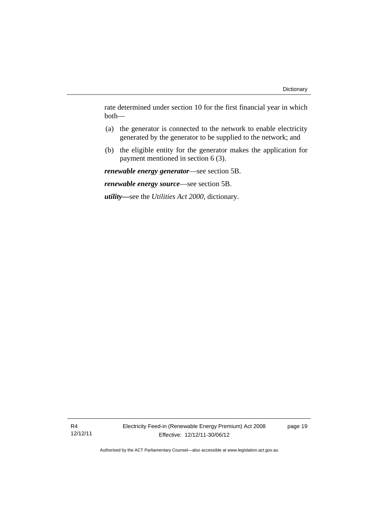rate determined under section 10 for the first financial year in which both—

- (a) the generator is connected to the network to enable electricity generated by the generator to be supplied to the network; and
- (b) the eligible entity for the generator makes the application for payment mentioned in section 6 (3).

*renewable energy generator*—see section 5B.

*renewable energy source*—see section 5B.

*utility***—**see the *Utilities Act 2000*, dictionary.

page 19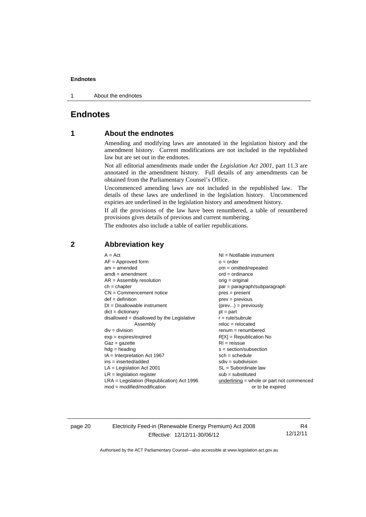1 About the endnotes

#### <span id="page-23-0"></span>**Endnotes**

#### **1 About the endnotes**

Amending and modifying laws are annotated in the legislation history and the amendment history. Current modifications are not included in the republished law but are set out in the endnotes.

Not all editorial amendments made under the *Legislation Act 2001*, part 11.3 are annotated in the amendment history. Full details of any amendments can be obtained from the Parliamentary Counsel's Office.

Uncommenced amending laws are not included in the republished law. The details of these laws are underlined in the legislation history. Uncommenced expiries are underlined in the legislation history and amendment history.

If all the provisions of the law have been renumbered, a table of renumbered provisions gives details of previous and current numbering.

The endnotes also include a table of earlier republications.

| $A = Act$                                    | $NI = Notifiable$ instrument                |
|----------------------------------------------|---------------------------------------------|
| $AF =$ Approved form                         | $o = order$                                 |
| $am = amended$                               | $om = omitted/repealed$                     |
| $amdt = amendment$                           | $ord = ordinance$                           |
| $AR = Assembly resolution$                   | $orig = original$                           |
| $ch = chapter$                               | $par = paragraph/subparagraph$              |
| $CN =$ Commencement notice                   | $pres = present$                            |
| $def = definition$                           | $prev = previous$                           |
| $DI = Disallowable instrument$               | $(\text{prev}) = \text{previously}$         |
| $dict = dictionary$                          | $pt = part$                                 |
| disallowed = disallowed by the Legislative   | $r = rule/subrule$                          |
| Assembly                                     | $reloc = relocated$                         |
| $div =$ division                             | $renum = renumbered$                        |
| $exp = expires/expired$                      | $R[X]$ = Republication No                   |
| $Gaz = gazette$                              | $RI = reissue$                              |
| $hdg =$ heading                              | $s = section/subsection$                    |
| $IA = Interpretation Act 1967$               | $sch = schedule$                            |
| $ins = inserted/added$                       | $sdiv = subdivision$                        |
| $LA =$ Legislation Act 2001                  | $SL = Subordinate$ law                      |
| $LR =$ legislation register                  | $sub =$ substituted                         |
| $LRA =$ Legislation (Republication) Act 1996 | $underlining = whole or part not commenced$ |
| $mod = modified/modification$                | or to be expired                            |
|                                              |                                             |

#### <span id="page-23-2"></span>**2 Abbreviation key**

page 20 Electricity Feed-in (Renewable Energy Premium) Act 2008 Effective: 12/12/11-30/06/12

R4 12/12/11

<span id="page-23-1"></span>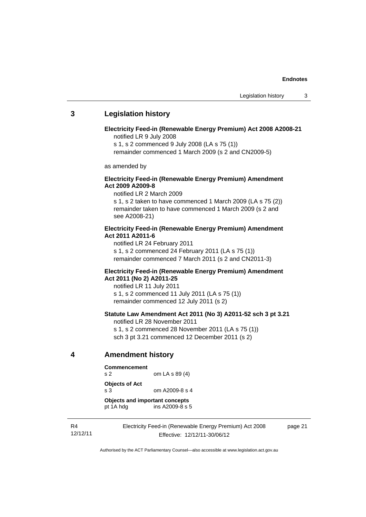#### <span id="page-24-0"></span>**3 Legislation history**

**Electricity Feed-in (Renewable Energy Premium) Act 2008 A2008-21**  notified LR 9 July 2008

s 1, s 2 commenced 9 July 2008 (LA s 75 (1))

remainder commenced 1 March 2009 (s 2 and CN2009-5)

as amended by

#### **Electricity Feed-in (Renewable Energy Premium) Amendment Act 2009 A2009-8**

notified LR 2 March 2009

s 1, s 2 taken to have commenced 1 March 2009 (LA s 75 (2)) remainder taken to have commenced 1 March 2009 (s 2 and see A2008-21)

#### **Electricity Feed-in (Renewable Energy Premium) Amendment Act 2011 A2011-6**

notified LR 24 February 2011

s 1, s 2 commenced 24 February 2011 (LA s 75 (1))

remainder commenced 7 March 2011 (s 2 and CN2011-3)

#### **Electricity Feed-in (Renewable Energy Premium) Amendment Act 2011 (No 2) A2011-25**

notified LR 11 July 2011 s 1, s 2 commenced 11 July 2011 (LA s 75 (1)) remainder commenced 12 July 2011 (s 2)

#### **Statute Law Amendment Act 2011 (No 3) A2011-52 sch 3 pt 3.21**

notified LR 28 November 2011 s 1, s 2 commenced 28 November 2011 (LA s 75 (1)) sch 3 pt 3.21 commenced 12 December 2011 (s 2)

#### <span id="page-24-1"></span>**4 Amendment history**

**Commencement**  s 2 om LA s 89 (4)

**Objects of Act** 

s 3 om A2009-8 s 4

**Objects and important concepts**  pt 1A hdg ins A2009-8 s 5

R4 12/12/11 Electricity Feed-in (Renewable Energy Premium) Act 2008 Effective: 12/12/11-30/06/12

page 21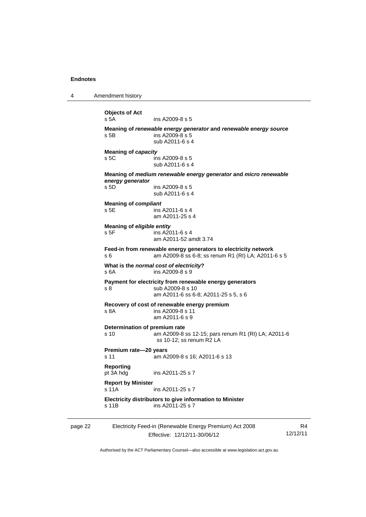4 Amendment history

page 22 Electricity Feed-in (Renewable Energy Premium) Act 2008 R4 **Objects of Act**  ins A2009-8 s 5 **Meaning of** *renewable energy generator* **and** *renewable energy source* s 5B ins A2009-8 s 5 sub A2011-6 s 4 **Meaning of** *capacity* s 5C ins A2009-8 s 5 sub A2011-6 s 4 **Meaning of** *medium renewable energy generator* **and** *micro renewable energy generator* s 5D ins A2009-8 s 5 sub A2011-6 s 4 **Meaning of** *compliant* s 5E ins A2011-6 s 4 am A2011-25 s 4 **Meaning of** *eligible entity* s 5F ins A2011-6 s 4 am A2011-52 amdt 3.74 **Feed-in from renewable energy generators to electricity network**  s 6 am A2009-8 ss 6-8; ss renum R1 (RI) LA; A2011-6 s 5 **What is the** *normal cost of electricity***?**  s 6A ins A2009-8 s 9 **Payment for electricity from renewable energy generators**  s 8 sub A2009-8 s 10 am A2011-6 ss 6-8; A2011-25 s 5, s 6 **Recovery of cost of renewable energy premium**  s 8A ins A2009-8 s 11 am A2011-6 s 9 **Determination of premium rate**  s 10 am A2009-8 ss 12-15; pars renum R1 (RI) LA; A2011-6 ss 10-12; ss renum R2 LA **Premium rate—20 years**  s 11 am A2009-8 s 16; A2011-6 s 13 **Reporting**  ins A2011-25 s 7 **Report by Minister**  s 11A ins A2011-25 s 7 **Electricity distributors to give information to Minister**  s 11B ins A2011-25 s 7

Effective: 12/12/11-30/06/12 12/12/11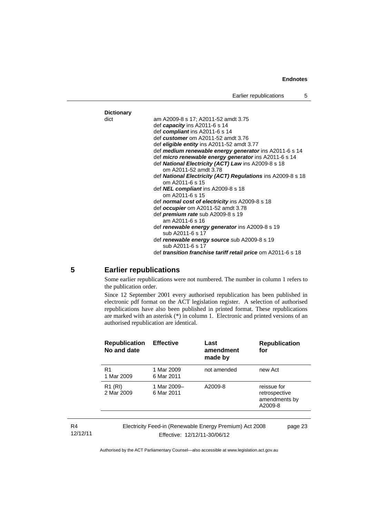

#### <span id="page-26-0"></span>**5 Earlier republications**

Some earlier republications were not numbered. The number in column 1 refers to the publication order.

Since 12 September 2001 every authorised republication has been published in electronic pdf format on the ACT legislation register. A selection of authorised republications have also been published in printed format. These republications are marked with an asterisk (\*) in column 1. Electronic and printed versions of an authorised republication are identical.

| <b>Republication</b><br>No and date | <b>Effective</b>          | Last<br>amendment<br>made by                            | <b>Republication</b><br>for                              |
|-------------------------------------|---------------------------|---------------------------------------------------------|----------------------------------------------------------|
| R <sub>1</sub><br>1 Mar 2009        | 1 Mar 2009<br>6 Mar 2011  | not amended                                             | new Act                                                  |
| R <sub>1</sub> (RI)<br>2 Mar 2009   | 1 Mar 2009-<br>6 Mar 2011 | A2009-8                                                 | reissue for<br>retrospective<br>amendments by<br>A2009-8 |
|                                     |                           | Electricity Feed-in (Renewable Energy Premium) Act 2008 | page 23                                                  |

R4 12/12/11

Effective: 12/12/11-30/06/12